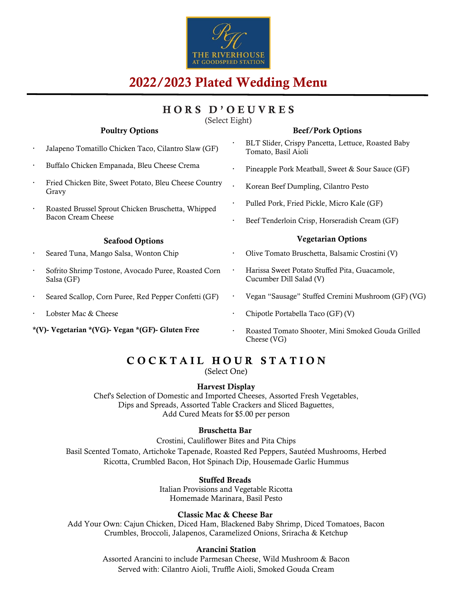

# 2022/2023 Plated Wedding Menu

# HORS D'OEUVRES

(Select Eight)

#### Poultry Options

#### Beef/Pork Options

- Jalapeno Tomatillo Chicken Taco, Cilantro Slaw (GF)
- Buffalo Chicken Empanada, Bleu Cheese Crema
- Fried Chicken Bite, Sweet Potato, Bleu Cheese Country Gravy
- Roasted Brussel Sprout Chicken Bruschetta, Whipped Bacon Cream Cheese

#### Seafood Options

- Seared Tuna, Mango Salsa, Wonton Chip
- Sofrito Shrimp Tostone, Avocado Puree, Roasted Corn Salsa (GF)
- Seared Scallop, Corn Puree, Red Pepper Confetti (GF)
- Lobster Mac & Cheese

\*(V)- Vegetarian \*(VG)- Vegan \*(GF)- Gluten Free

- BLT Slider, Crispy Pancetta, Lettuce, Roasted Baby Tomato, Basil Aioli
- Pineapple Pork Meatball, Sweet & Sour Sauce (GF)
- Korean Beef Dumpling, Cilantro Pesto
- Pulled Pork, Fried Pickle, Micro Kale (GF)
- Beef Tenderloin Crisp, Horseradish Cream (GF)

#### Vegetarian Options

- Olive Tomato Bruschetta, Balsamic Crostini (V)
- Harissa Sweet Potato Stuffed Pita, Guacamole, Cucumber Dill Salad (V)
- Vegan "Sausage" Stuffed Cremini Mushroom (GF) (VG)
- Chipotle Portabella Taco (GF) (V)
- Roasted Tomato Shooter, Mini Smoked Gouda Grilled Cheese (VG)

## COCKTAIL HOUR STATION

(Select One)

### Harvest Display

Chef's Selection of Domestic and Imported Cheeses, Assorted Fresh Vegetables, Dips and Spreads, Assorted Table Crackers and Sliced Baguettes, Add Cured Meats for \$5.00 per person

#### Bruschetta Bar

Crostini, Cauliflower Bites and Pita Chips Basil Scented Tomato, Artichoke Tapenade, Roasted Red Peppers, Sautéed Mushrooms, Herbed Ricotta, Crumbled Bacon, Hot Spinach Dip, Housemade Garlic Hummus

#### Stuffed Breads

Italian Provisions and Vegetable Ricotta Homemade Marinara, Basil Pesto

#### Classic Mac & Cheese Bar

Add Your Own: Cajun Chicken, Diced Ham, Blackened Baby Shrimp, Diced Tomatoes, Bacon Crumbles, Broccoli, Jalapenos, Caramelized Onions, Sriracha & Ketchup

### Arancini Station

Assorted Arancini to include Parmesan Cheese, Wild Mushroom & Bacon Served with: Cilantro Aioli, Truffle Aioli, Smoked Gouda Cream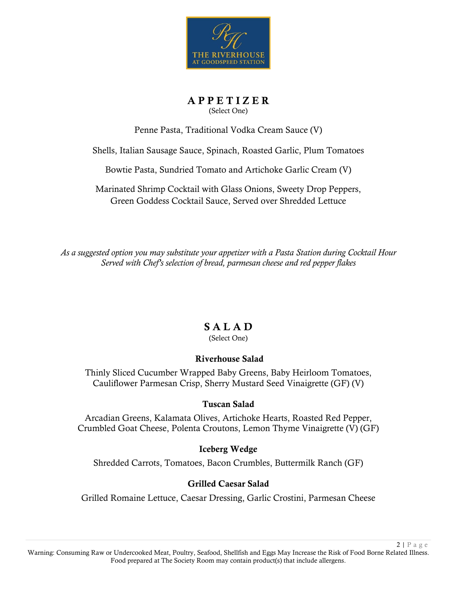

A P P E T I Z E R (Select One)

Penne Pasta, Traditional Vodka Cream Sauce (V)

Shells, Italian Sausage Sauce, Spinach, Roasted Garlic, Plum Tomatoes

Bowtie Pasta, Sundried Tomato and Artichoke Garlic Cream (V)

Marinated Shrimp Cocktail with Glass Onions, Sweety Drop Peppers, Green Goddess Cocktail Sauce, Served over Shredded Lettuce

*As a suggested option you may substitute your appetizer with a Pasta Station during Cocktail Hour Served with Chef's selection of bread, parmesan cheese and red pepper flakes*

### S A L A D

(Select One)

### Riverhouse Salad

Thinly Sliced Cucumber Wrapped Baby Greens, Baby Heirloom Tomatoes, Cauliflower Parmesan Crisp, Sherry Mustard Seed Vinaigrette (GF) (V)

### Tuscan Salad

Arcadian Greens, Kalamata Olives, Artichoke Hearts, Roasted Red Pepper, Crumbled Goat Cheese, Polenta Croutons, Lemon Thyme Vinaigrette (V) (GF)

### Iceberg Wedge

Shredded Carrots, Tomatoes, Bacon Crumbles, Buttermilk Ranch (GF)

### Grilled Caesar Salad

Grilled Romaine Lettuce, Caesar Dressing, Garlic Crostini, Parmesan Cheese